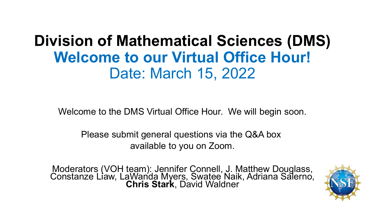# **Division of Mathematical Sciences (DMS) Welcome to our Virtual Office Hour!** Date: March 15, 2022

Welcome to the DMS Virtual Office Hour. We will begin soon.

Please submit general questions via the Q&A box available to you on Zoom.

Moderators (VOH team): Jennifer Connell, J. Matthew Douglass, Constanze Liaw, LaWanda Myers, Swatee Naik, Adriana Salerno, **Chris Stark**, David Waldner

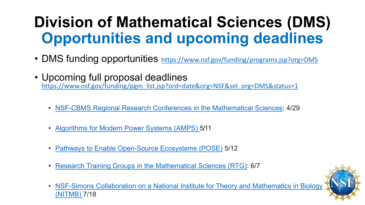# **Division of Mathematical Sciences (DMS) Opportunities and upcoming deadlines**

- DMS funding opportunities <https://www.nsf.gov/funding/programs.jsp?org=DMS>
- Upcoming full proposal deadlines [https://www.nsf.gov/funding/pgm\\_list.jsp?ord=date&org=NSF&sel\\_org=DMS&status=1](https://www.nsf.gov/funding/pgm_list.jsp?ord=date&org=NSF&sel_org=DMS&status=1)
	- [NSF-CBMS Regional Research Conferences in the Mathematical Sciences](https://beta.nsf.gov/funding/opportunities/nsf-cbms-regional-research-conferences-mathematical-sciences): 4/29
	- [Algorithms for Modern Power Systems \(AMPS\) 5](https://beta.nsf.gov/funding/opportunities/algorithms-modern-power-systems-amps)/11
	- [Pathways to Enable Open-Source Ecosystems \(POSE\)](https://beta.nsf.gov/funding/opportunities/pathways-enable-open-source-ecosystems-pose) 5/12
	- [Research Training Groups in the Mathematical Sciences \(RTG\)](https://beta.nsf.gov/funding/opportunities/research-training-groups-mathematical-sciences-rtg): 6/7
	- NSF-Simons Collaboration on a National Institute for Theory and Mathematics in Biology (NITMB) 7/18

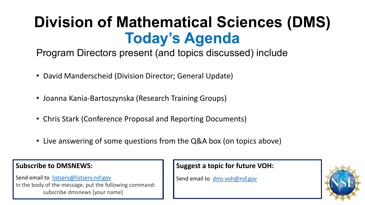# **Division of Mathematical Sciences (DMS) Today's Agenda**

Program Directors present (and topics discussed) include

- David Manderscheid (Division Director; General Update)
- Joanna Kania-Bartoszynska (Research Training Groups)
- Chris Stark (Conference Proposal and Reporting Documents)
- Live answering of some questions from the Q&A box (on topics above)

#### **Subscribe to DMSNEWS:**

Send email to [listserv@listserv.nsf.gov](mailto:listserv@listserv.nsf.gov) In the body of the message, put the following command: subscribe dmsnews [your name]

#### **Suggest a topic for future VOH:**

Send email to [dms-voh@nsf.gov](mailto:dms-voh@nsf.gov)

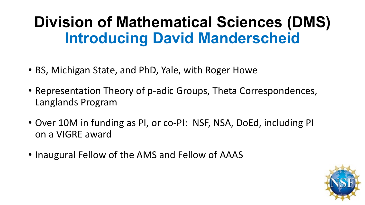# **Division of Mathematical Sciences (DMS) Introducing David Manderscheid**

- BS, Michigan State, and PhD, Yale, with Roger Howe
- Representation Theory of p-adic Groups, Theta Correspondences, Langlands Program
- Over 10M in funding as PI, or co-PI: NSF, NSA, DoEd, including PI on a VIGRE award
- Inaugural Fellow of the AMS and Fellow of AAAS

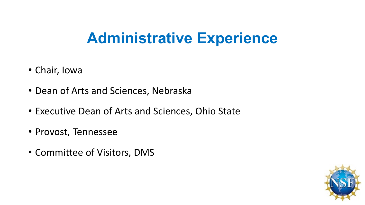# **Administrative Experience**

- Chair, Iowa
- Dean of Arts and Sciences, Nebraska
- Executive Dean of Arts and Sciences, Ohio State
- Provost, Tennessee
- Committee of Visitors, DMS

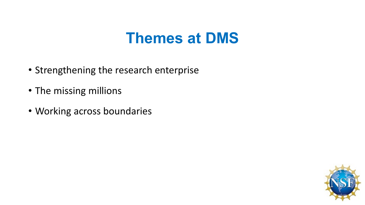## **Themes at DMS**

- Strengthening the research enterprise
- The missing millions
- Working across boundaries

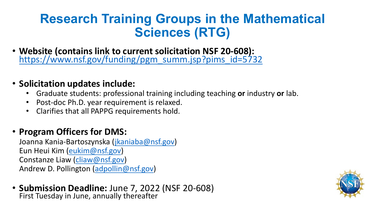### **Research Training Groups in the Mathematical Sciences (RTG)**

• **Website (contains link to current solicitation NSF 20-608):** [https://www.nsf.gov/funding/pgm\\_summ.jsp?pims\\_id=5732](https://www.nsf.gov/funding/pgm_summ.jsp?pims_id=5732)

#### • **Solicitation updates include:**

- Graduate students: professional training including teaching **or** industry **or** lab.
- Post-doc Ph.D. year requirement is relaxed.
- Clarifies that all PAPPG requirements hold.

#### • **Program Officers for DMS:**

Joanna Kania-Bartoszynska [\(jkaniaba@nsf.gov\)](mailto:jkaniaba@nsf.gov) Eun Heui Kim [\(eukim@nsf.gov](mailto:eukim@nsf.gov)) Constanze Liaw [\(cliaw@nsf.gov\)](mailto:cliaw@nsf.gov) Andrew D. Pollington ([adpollin@nsf.gov\)](mailto:adpollin@nsf.gov)

• **Submission Deadline:** June 7, 2022 (NSF 20-608) First Tuesday in June, annually thereafter

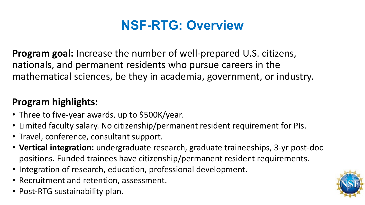### **NSF-RTG: Overview**

**Program goal:** Increase the number of well-prepared U.S. citizens, nationals, and permanent residents who pursue careers in the mathematical sciences, be they in academia, government, or industry.

### **Program highlights:**

- Three to five-year awards, up to \$500K/year.
- Limited faculty salary. No citizenship/permanent resident requirement for PIs.
- Travel, conference, consultant support.
- **Vertical integration:** undergraduate research, graduate traineeships, 3-yr post-doc positions. Funded trainees have citizenship/permanent resident requirements.
- Integration of research, education, professional development.
- Recruitment and retention, assessment.
- Post-RTG sustainability plan.

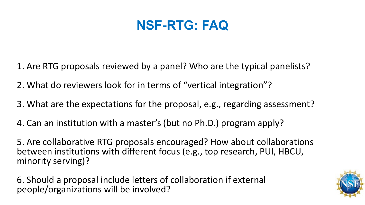### **NSF-RTG: FAQ**

- 1. Are RTG proposals reviewed by a panel? Who are the typical panelists?
- 2. What do reviewers look for in terms of "vertical integration"?
- 3. What are the expectations for the proposal, e.g., regarding assessment?
- 4. Can an institution with a master's (but no Ph.D.) program apply?

5. Are collaborative RTG proposals encouraged? How about collaborations between institutions with different focus (e.g., top research, PUI, HBCU, minority serving)?

6. Should a proposal include letters of collaboration if external people/organizations will be involved?

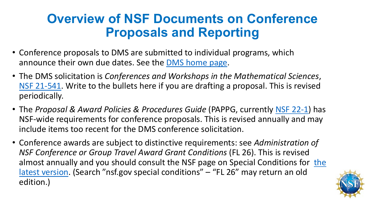### **Overview of NSF Documents on Conference Proposals and Reporting**

- Conference proposals to DMS are submitted to individual programs, which announce their own due dates. See the [DMS home page.](https://www.nsf.gov/div/index.jsp?div=dms)
- The DMS solicitation is *Conferences and Workshops in the Mathematical Sciences*, [NSF 21-541](https://www.nsf.gov/pubs/2021/nsf21541/nsf21541.htm). Write to the bullets here if you are drafting a proposal. This is revised periodically.
- The *Proposal & Award Policies & Procedures Guide* (PAPPG, currently [NSF 22-1](https://www.nsf.gov/publications/pub_summ.jsp?ods_key=nsf22001&org=NSF)) has NSF-wide requirements for conference proposals. This is revised annually and may include items too recent for the DMS conference solicitation.
- Conference awards are subject to distinctive requirements: see *Administration of NSF Conference or Group Travel Award Grant Conditions* (FL 26). This is revised [almost annually and you should consult the NSF page on Special Conditions for the](https://nsf.gov/awards/managing/special_conditions.jsp)  latest version. (Search "nsf.gov special conditions" – "FL 26" may return an old edition.)

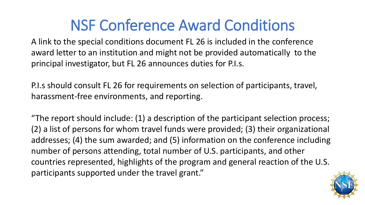# NSF Conference Award Conditions

A link to the special conditions document FL 26 is included in the conference award letter to an institution and might not be provided automatically to the principal investigator, but FL 26 announces duties for P.I.s.

P.I.s should consult FL 26 for requirements on selection of participants, travel, harassment-free environments, and reporting.

"The report should include: (1) a description of the participant selection process; (2) a list of persons for whom travel funds were provided; (3) their organizational addresses; (4) the sum awarded; and (5) information on the conference including number of persons attending, total number of U.S. participants, and other countries represented, highlights of the program and general reaction of the U.S. participants supported under the travel grant."

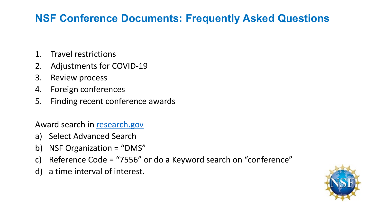### **NSF Conference Documents: Frequently Asked Questions**

- 1. Travel restrictions
- 2. Adjustments for COVID-19
- 3. Review process
- 4. Foreign conferences
- 5. Finding recent conference awards

Award search in [research.gov](https://www.nsf.gov/awardsearch/)

- a) Select Advanced Search
- b) NSF Organization = "DMS"
- c) Reference Code = "7556" or do a Keyword search on "conference"
- d) a time interval of interest.

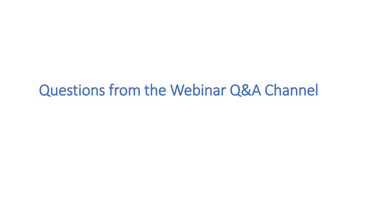## Questions from the Webinar Q&A Channel